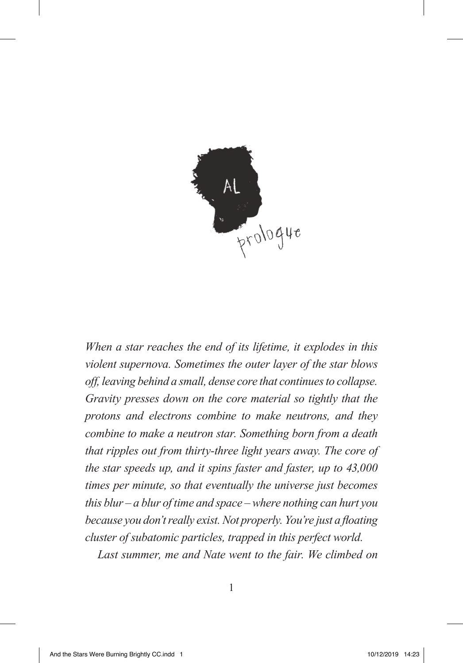

*When a star reaches the end of its lifetime, it explodes in this violent supernova. Sometimes the outer layer of the star blows off, leaving behind a small, dense core that continues to collapse. Gravity presses down on the core material so tightly that the protons and electrons combine to make neutrons, and they combine to make a neutron star. Something born from a death that ripples out from thirty-three light years away. The core of the star speeds up, and it spins faster and faster, up to 43,000 times per minute, so that eventually the universe just becomes this blur – a blur of time and space – where nothing can hurt you because you don't really exist. Not properly. You're just a floating cluster of subatomic particles, trapped in this perfect world.*

*Last summer, me and Nate went to the fair. We climbed on*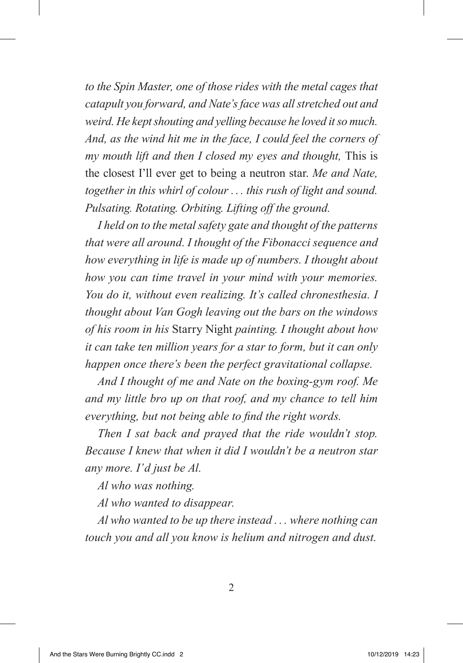*to the Spin Master, one of those rides with the metal cages that catapult you forward, and Nate's face was all stretched out and weird. He kept shouting and yelling because he loved it so much. And, as the wind hit me in the face, I could feel the corners of my mouth lift and then I closed my eyes and thought,* This is the closest I'll ever get to being a neutron star. *Me and Nate, together in this whirl of colour . . . this rush of light and sound. Pulsating. Rotating. Orbiting. Lifting off the ground.*

*I held on to the metal safety gate and thought of the patterns that were all around. I thought of the Fibonacci sequence and how everything in life is made up of numbers. I thought about how you can time travel in your mind with your memories. You do it, without even realizing. It's called chronesthesia. I thought about Van Gogh leaving out the bars on the windows of his room in his* Starry Night *painting. I thought about how it can take ten million years for a star to form, but it can only happen once there's been the perfect gravitational collapse.*

*And I thought of me and Nate on the boxing-gym roof. Me and my little bro up on that roof, and my chance to tell him everything, but not being able to find the right words.*

*Then I sat back and prayed that the ride wouldn't stop. Because I knew that when it did I wouldn't be a neutron star any more. I'd just be Al.*

*Al who was nothing.*

*Al who wanted to disappear.*

*Al who wanted to be up there instead . . . where nothing can touch you and all you know is helium and nitrogen and dust.*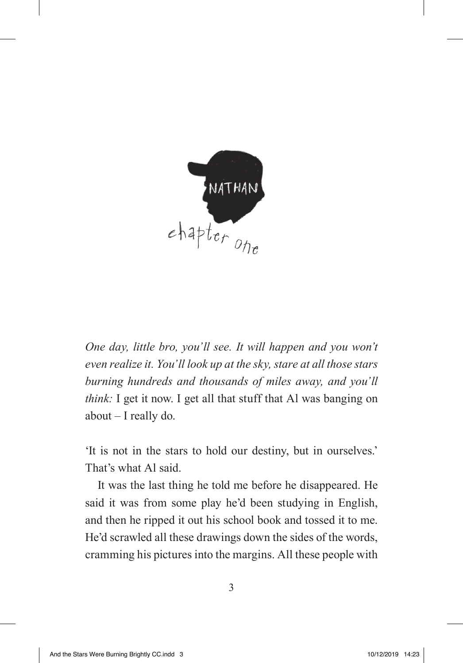

*One day, little bro, you'll see. It will happen and you won't even realize it. You'll look up at the sky, stare at all those stars burning hundreds and thousands of miles away, and you'll think*: I get it now. I get all that stuff that Al was banging on about – I really do.

'It is not in the stars to hold our destiny, but in ourselves.' That's what Al said.

It was the last thing he told me before he disappeared. He said it was from some play he'd been studying in English, and then he ripped it out his school book and tossed it to me. He'd scrawled all these drawings down the sides of the words, cramming his pictures into the margins. All these people with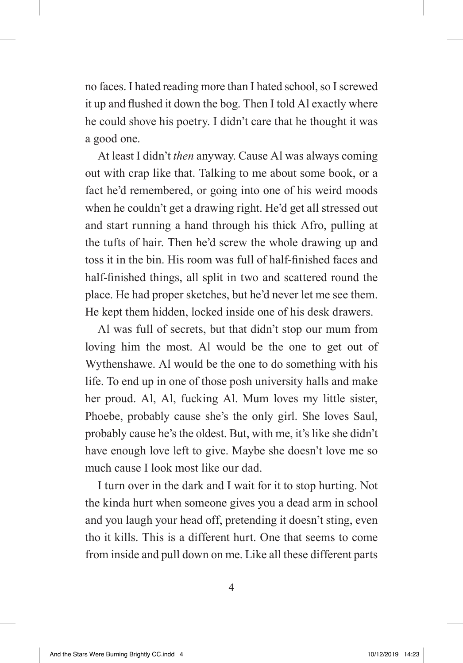no faces. I hated reading more than I hated school, so I screwed it up and flushed it down the bog. Then I told Al exactly where he could shove his poetry. I didn't care that he thought it was a good one.

At least I didn't *then* anyway. Cause Al was always coming out with crap like that. Talking to me about some book, or a fact he'd remembered, or going into one of his weird moods when he couldn't get a drawing right. He'd get all stressed out and start running a hand through his thick Afro, pulling at the tufts of hair. Then he'd screw the whole drawing up and toss it in the bin. His room was full of half-finished faces and half-finished things, all split in two and scattered round the place. He had proper sketches, but he'd never let me see them. He kept them hidden, locked inside one of his desk drawers.

Al was full of secrets, but that didn't stop our mum from loving him the most. Al would be the one to get out of Wythenshawe. Al would be the one to do something with his life. To end up in one of those posh university halls and make her proud. Al, Al, fucking Al. Mum loves my little sister, Phoebe, probably cause she's the only girl. She loves Saul, probably cause he's the oldest. But, with me, it's like she didn't have enough love left to give. Maybe she doesn't love me so much cause I look most like our dad.

I turn over in the dark and I wait for it to stop hurting. Not the kinda hurt when someone gives you a dead arm in school and you laugh your head off, pretending it doesn't sting, even tho it kills. This is a different hurt. One that seems to come from inside and pull down on me. Like all these different parts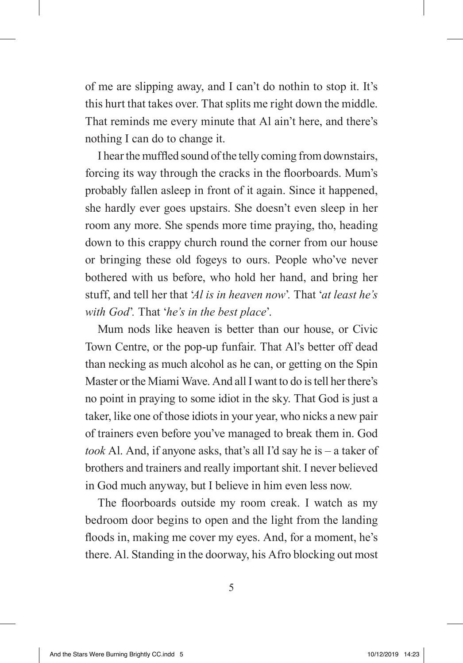of me are slipping away, and I can't do nothin to stop it. It's this hurt that takes over. That splits me right down the middle. That reminds me every minute that Al ain't here, and there's nothing I can do to change it.

I hear the muffled sound of the telly coming from downstairs, forcing its way through the cracks in the floorboards. Mum's probably fallen asleep in front of it again. Since it happened, she hardly ever goes upstairs. She doesn't even sleep in her room any more. She spends more time praying, tho, heading down to this crappy church round the corner from our house or bringing these old fogeys to ours. People who've never bothered with us before, who hold her hand, and bring her stuff, and tell her that '*Al is in heaven now*'*.* That '*at least he's with God*'*.* That '*he's in the best place*'.

Mum nods like heaven is better than our house, or Civic Town Centre, or the pop-up funfair. That Al's better off dead than necking as much alcohol as he can, or getting on the Spin Master or the Miami Wave. And all I want to do is tell her there's no point in praying to some idiot in the sky. That God is just a taker, like one of those idiots in your year, who nicks a new pair of trainers even before you've managed to break them in. God *took* Al. And, if anyone asks, that's all I'd say he is – a taker of brothers and trainers and really important shit. I never believed in God much anyway, but I believe in him even less now.

The floorboards outside my room creak. I watch as my bedroom door begins to open and the light from the landing floods in, making me cover my eyes. And, for a moment, he's there. Al. Standing in the doorway, his Afro blocking out most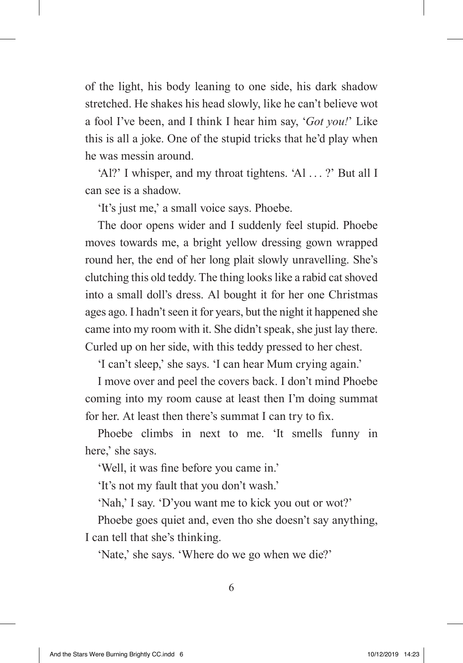of the light, his body leaning to one side, his dark shadow stretched. He shakes his head slowly, like he can't believe wot a fool I've been, and I think I hear him say, '*Got you!*' Like this is all a joke. One of the stupid tricks that he'd play when he was messin around.

'Al?' I whisper, and my throat tightens. 'Al . . . ?' But all I can see is a shadow.

'It's just me,' a small voice says. Phoebe.

The door opens wider and I suddenly feel stupid. Phoebe moves towards me, a bright yellow dressing gown wrapped round her, the end of her long plait slowly unravelling. She's clutching this old teddy. The thing looks like a rabid cat shoved into a small doll's dress. Al bought it for her one Christmas ages ago. I hadn't seen it for years, but the night it happened she came into my room with it. She didn't speak, she just lay there. Curled up on her side, with this teddy pressed to her chest.

'I can't sleep,' she says. 'I can hear Mum crying again.'

I move over and peel the covers back. I don't mind Phoebe coming into my room cause at least then I'm doing summat for her. At least then there's summat I can try to fix.

Phoebe climbs in next to me. 'It smells funny in here,' she says.

'Well, it was fine before you came in.'

'It's not my fault that you don't wash.'

'Nah,' I say. 'D'you want me to kick you out or wot?'

Phoebe goes quiet and, even tho she doesn't say anything, I can tell that she's thinking.

'Nate,' she says. 'Where do we go when we die?'

6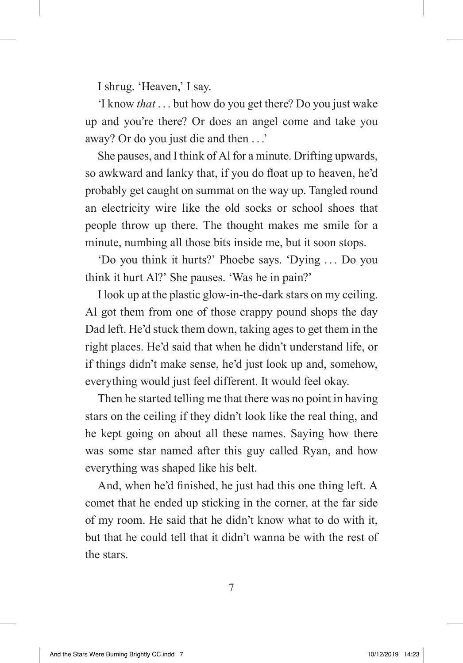I shrug. 'Heaven,' I say.

'I know *that* . . . but how do you get there? Do you just wake up and you're there? Or does an angel come and take you away? Or do you just die and then . . .'

She pauses, and I think of Al for a minute. Drifting upwards, so awkward and lanky that, if you do float up to heaven, he'd probably get caught on summat on the way up. Tangled round an electricity wire like the old socks or school shoes that people throw up there. The thought makes me smile for a minute, numbing all those bits inside me, but it soon stops.

'Do you think it hurts?' Phoebe says. 'Dying . . . Do you think it hurt Al?' She pauses. 'Was he in pain?'

I look up at the plastic glow-in-the-dark stars on my ceiling. Al got them from one of those crappy pound shops the day Dad left. He'd stuck them down, taking ages to get them in the right places. He'd said that when he didn't understand life, or if things didn't make sense, he'd just look up and, somehow, everything would just feel different. It would feel okay.

Then he started telling me that there was no point in having stars on the ceiling if they didn't look like the real thing, and he kept going on about all these names. Saying how there was some star named after this guy called Ryan, and how everything was shaped like his belt.

And, when he'd finished, he just had this one thing left. A comet that he ended up sticking in the corner, at the far side of my room. He said that he didn't know what to do with it, but that he could tell that it didn't wanna be with the rest of the stars.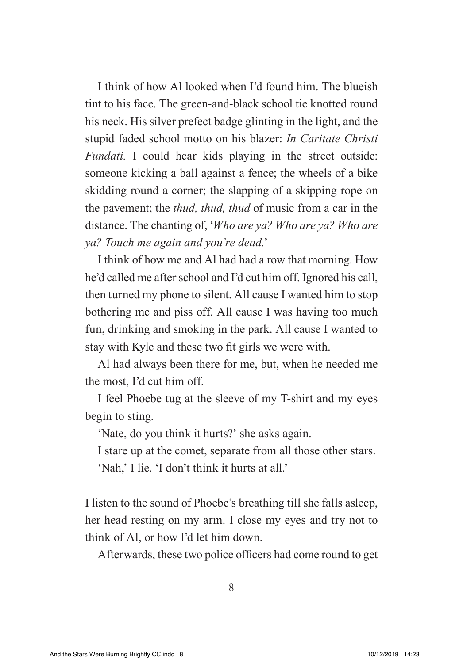I think of how Al looked when I'd found him. The blueish tint to his face. The green-and-black school tie knotted round his neck. His silver prefect badge glinting in the light, and the stupid faded school motto on his blazer: *In Caritate Christi Fundati.* I could hear kids playing in the street outside: someone kicking a ball against a fence; the wheels of a bike skidding round a corner; the slapping of a skipping rope on the pavement; the *thud, thud, thud* of music from a car in the distance. The chanting of, '*Who are ya? Who are ya? Who are ya? Touch me again and you're dead.*'

I think of how me and Al had had a row that morning. How he'd called me after school and I'd cut him off. Ignored his call, then turned my phone to silent. All cause I wanted him to stop bothering me and piss off. All cause I was having too much fun, drinking and smoking in the park. All cause I wanted to stay with Kyle and these two fit girls we were with.

Al had always been there for me, but, when he needed me the most, I'd cut him off.

I feel Phoebe tug at the sleeve of my T-shirt and my eyes begin to sting.

'Nate, do you think it hurts?' she asks again.

I stare up at the comet, separate from all those other stars.

'Nah,' I lie. 'I don't think it hurts at all.'

I listen to the sound of Phoebe's breathing till she falls asleep, her head resting on my arm. I close my eyes and try not to think of Al, or how I'd let him down.

Afterwards, these two police officers had come round to get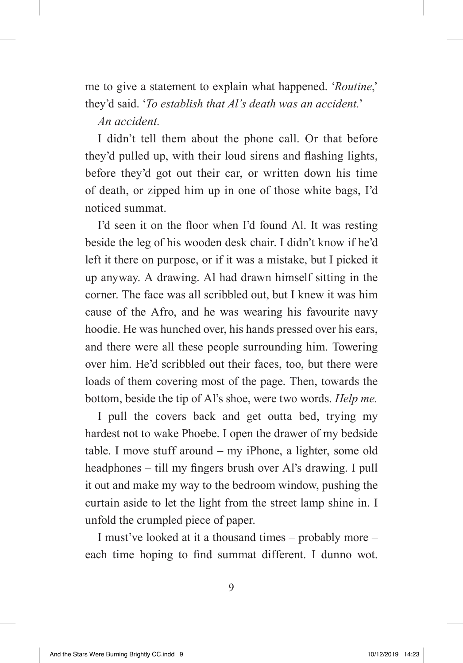me to give a statement to explain what happened. '*Routine*,' they'd said. '*To establish that Al's death was an accident.*'

## *An accident.*

I didn't tell them about the phone call. Or that before they'd pulled up, with their loud sirens and flashing lights, before they'd got out their car, or written down his time of death, or zipped him up in one of those white bags, I'd noticed summat.

I'd seen it on the floor when I'd found Al. It was resting beside the leg of his wooden desk chair. I didn't know if he'd left it there on purpose, or if it was a mistake, but I picked it up anyway. A drawing. Al had drawn himself sitting in the corner. The face was all scribbled out, but I knew it was him cause of the Afro, and he was wearing his favourite navy hoodie. He was hunched over, his hands pressed over his ears, and there were all these people surrounding him. Towering over him. He'd scribbled out their faces, too, but there were loads of them covering most of the page. Then, towards the bottom, beside the tip of Al's shoe, were two words. *Help me.*

I pull the covers back and get outta bed, trying my hardest not to wake Phoebe. I open the drawer of my bedside table. I move stuff around – my iPhone, a lighter, some old headphones – till my fingers brush over Al's drawing. I pull it out and make my way to the bedroom window, pushing the curtain aside to let the light from the street lamp shine in. I unfold the crumpled piece of paper.

I must've looked at it a thousand times – probably more – each time hoping to find summat different. I dunno wot.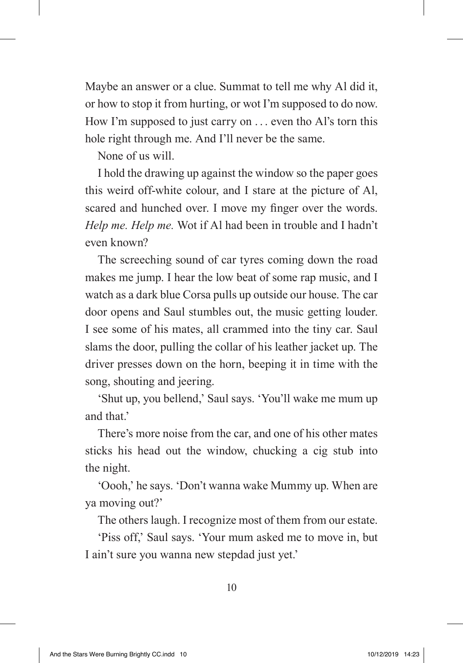Maybe an answer or a clue. Summat to tell me why Al did it, or how to stop it from hurting, or wot I'm supposed to do now. How I'm supposed to just carry on ... even tho Al's torn this hole right through me. And I'll never be the same.

None of us will.

I hold the drawing up against the window so the paper goes this weird off-white colour, and I stare at the picture of Al, scared and hunched over. I move my finger over the words. *Help me. Help me.* Wot if Al had been in trouble and I hadn't even known?

The screeching sound of car tyres coming down the road makes me jump. I hear the low beat of some rap music, and I watch as a dark blue Corsa pulls up outside our house. The car door opens and Saul stumbles out, the music getting louder. I see some of his mates, all crammed into the tiny car. Saul slams the door, pulling the collar of his leather jacket up. The driver presses down on the horn, beeping it in time with the song, shouting and jeering.

'Shut up, you bellend,' Saul says. 'You'll wake me mum up and that.'

There's more noise from the car, and one of his other mates sticks his head out the window, chucking a cig stub into the night.

'Oooh,' he says. 'Don't wanna wake Mummy up. When are ya moving out?'

The others laugh. I recognize most of them from our estate.

'Piss off,' Saul says. 'Your mum asked me to move in, but I ain't sure you wanna new stepdad just yet.'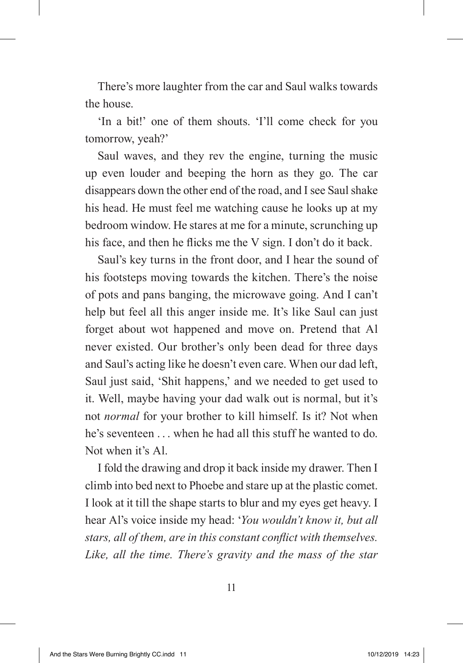There's more laughter from the car and Saul walks towards the house.

'In a bit!' one of them shouts. 'I'll come check for you tomorrow, yeah?'

Saul waves, and they rev the engine, turning the music up even louder and beeping the horn as they go. The car disappears down the other end of the road, and I see Saul shake his head. He must feel me watching cause he looks up at my bedroom window. He stares at me for a minute, scrunching up his face, and then he flicks me the V sign. I don't do it back.

Saul's key turns in the front door, and I hear the sound of his footsteps moving towards the kitchen. There's the noise of pots and pans banging, the microwave going. And I can't help but feel all this anger inside me. It's like Saul can just forget about wot happened and move on. Pretend that Al never existed. Our brother's only been dead for three days and Saul's acting like he doesn't even care. When our dad left, Saul just said, 'Shit happens,' and we needed to get used to it. Well, maybe having your dad walk out is normal, but it's not *normal* for your brother to kill himself. Is it? Not when he's seventeen . . . when he had all this stuff he wanted to do. Not when it's Al.

I fold the drawing and drop it back inside my drawer. Then I climb into bed next to Phoebe and stare up at the plastic comet. I look at it till the shape starts to blur and my eyes get heavy. I hear Al's voice inside my head: '*You wouldn't know it, but all stars, all of them, are in this constant conflict with themselves. Like, all the time. There's gravity and the mass of the star*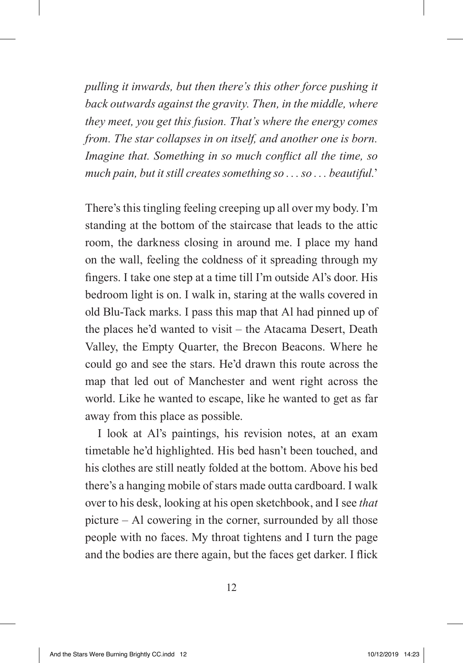*pulling it inwards, but then there's this other force pushing it back outwards against the gravity. Then, in the middle, where they meet, you get this fusion. That's where the energy comes from. The star collapses in on itself, and another one is born. Imagine that. Something in so much conflict all the time, so much pain, but it still creates something so . . . so . . . beautiful.*'

There's this tingling feeling creeping up all over my body. I'm standing at the bottom of the staircase that leads to the attic room, the darkness closing in around me. I place my hand on the wall, feeling the coldness of it spreading through my fingers. I take one step at a time till I'm outside Al's door. His bedroom light is on. I walk in, staring at the walls covered in old Blu-Tack marks. I pass this map that Al had pinned up of the places he'd wanted to visit – the Atacama Desert, Death Valley, the Empty Quarter, the Brecon Beacons. Where he could go and see the stars. He'd drawn this route across the map that led out of Manchester and went right across the world. Like he wanted to escape, like he wanted to get as far away from this place as possible.

I look at Al's paintings, his revision notes, at an exam timetable he'd highlighted. His bed hasn't been touched, and his clothes are still neatly folded at the bottom. Above his bed there's a hanging mobile of stars made outta cardboard. I walk over to his desk, looking at his open sketchbook, and I see *that*  picture – Al cowering in the corner, surrounded by all those people with no faces. My throat tightens and I turn the page and the bodies are there again, but the faces get darker. I flick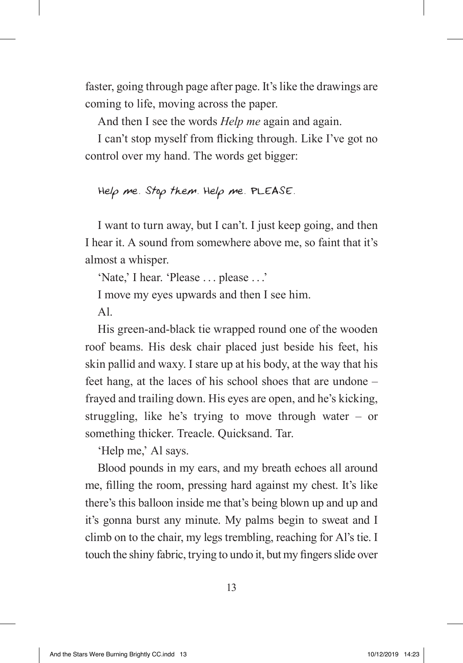faster, going through page after page. It's like the drawings are coming to life, moving across the paper.

And then I see the words *Help me* again and again.

I can't stop myself from flicking through. Like I've got no control over my hand. The words get bigger:

Help me. Stop them. Help me. PLEASE.

I want to turn away, but I can't. I just keep going, and then I hear it. A sound from somewhere above me, so faint that it's almost a whisper.

'Nate,' I hear. 'Please . . . please . . .' I move my eyes upwards and then I see him. Al.

His green-and-black tie wrapped round one of the wooden roof beams. His desk chair placed just beside his feet, his skin pallid and waxy. I stare up at his body, at the way that his feet hang, at the laces of his school shoes that are undone – frayed and trailing down. His eyes are open, and he's kicking, struggling, like he's trying to move through water – or something thicker. Treacle. Quicksand. Tar.

'Help me,' Al says.

Blood pounds in my ears, and my breath echoes all around me, filling the room, pressing hard against my chest. It's like there's this balloon inside me that's being blown up and up and it's gonna burst any minute. My palms begin to sweat and I climb on to the chair, my legs trembling, reaching for Al's tie. I touch the shiny fabric, trying to undo it, but my fingers slide over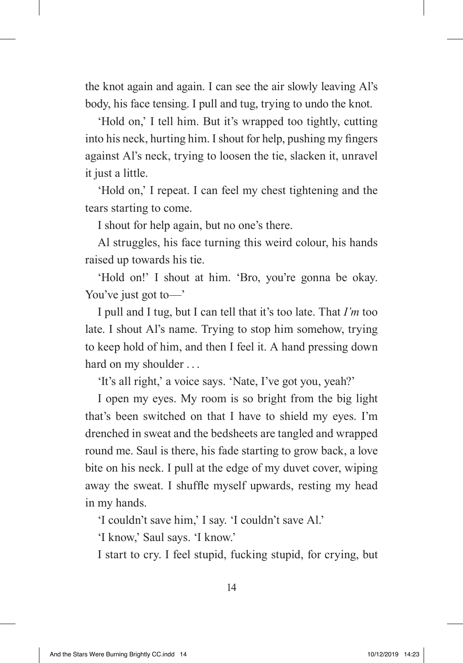the knot again and again. I can see the air slowly leaving Al's body, his face tensing. I pull and tug, trying to undo the knot.

'Hold on,' I tell him. But it's wrapped too tightly, cutting into his neck, hurting him. I shout for help, pushing my fingers against Al's neck, trying to loosen the tie, slacken it, unravel it just a little.

'Hold on,' I repeat. I can feel my chest tightening and the tears starting to come.

I shout for help again, but no one's there.

Al struggles, his face turning this weird colour, his hands raised up towards his tie.

'Hold on!' I shout at him. 'Bro, you're gonna be okay. You've just got to—'

I pull and I tug, but I can tell that it's too late. That *I'm* too late. I shout Al's name. Trying to stop him somehow, trying to keep hold of him, and then I feel it. A hand pressing down hard on my shoulder ...

'It's all right,' a voice says. 'Nate, I've got you, yeah?'

I open my eyes. My room is so bright from the big light that's been switched on that I have to shield my eyes. I'm drenched in sweat and the bedsheets are tangled and wrapped round me. Saul is there, his fade starting to grow back, a love bite on his neck. I pull at the edge of my duvet cover, wiping away the sweat. I shuffle myself upwards, resting my head in my hands.

'I couldn't save him,' I say. 'I couldn't save Al.'

'I know,' Saul says. 'I know.'

I start to cry. I feel stupid, fucking stupid, for crying, but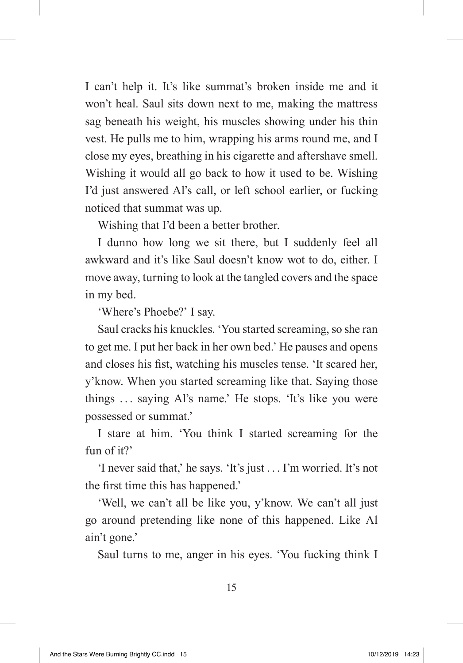I can't help it. It's like summat's broken inside me and it won't heal. Saul sits down next to me, making the mattress sag beneath his weight, his muscles showing under his thin vest. He pulls me to him, wrapping his arms round me, and I close my eyes, breathing in his cigarette and aftershave smell. Wishing it would all go back to how it used to be. Wishing I'd just answered Al's call, or left school earlier, or fucking noticed that summat was up.

Wishing that I'd been a better brother.

I dunno how long we sit there, but I suddenly feel all awkward and it's like Saul doesn't know wot to do, either. I move away, turning to look at the tangled covers and the space in my bed.

'Where's Phoebe?' I say.

Saul cracks his knuckles. 'You started screaming, so she ran to get me. I put her back in her own bed.' He pauses and opens and closes his fist, watching his muscles tense. 'It scared her, y'know. When you started screaming like that. Saying those things . . . saying Al's name.' He stops. 'It's like you were possessed or summat.'

I stare at him. 'You think I started screaming for the fun of it?'

'I never said that,' he says. 'It's just . . . I'm worried. It's not the first time this has happened.'

'Well, we can't all be like you, y'know. We can't all just go around pretending like none of this happened. Like Al ain't gone.'

Saul turns to me, anger in his eyes. 'You fucking think I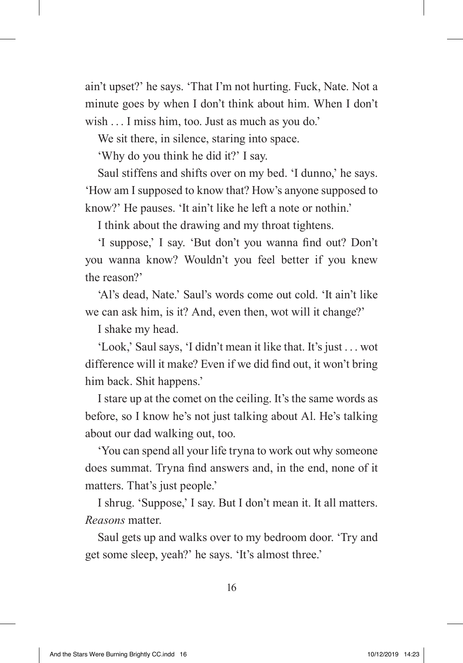ain't upset?' he says. 'That I'm not hurting. Fuck, Nate. Not a minute goes by when I don't think about him. When I don't wish . . . I miss him, too. Just as much as you do.'

We sit there, in silence, staring into space.

'Why do you think he did it?' I say.

Saul stiffens and shifts over on my bed. 'I dunno,' he says. 'How am I supposed to know that? How's anyone supposed to know?' He pauses. 'It ain't like he left a note or nothin.'

I think about the drawing and my throat tightens.

'I suppose,' I say. 'But don't you wanna find out? Don't you wanna know? Wouldn't you feel better if you knew the reason?'

'Al's dead, Nate.' Saul's words come out cold. 'It ain't like we can ask him, is it? And, even then, wot will it change?'

I shake my head.

'Look,' Saul says, 'I didn't mean it like that. It's just . . . wot difference will it make? Even if we did find out, it won't bring him back. Shit happens.'

I stare up at the comet on the ceiling. It's the same words as before, so I know he's not just talking about Al. He's talking about our dad walking out, too.

'You can spend all your life tryna to work out why someone does summat. Tryna find answers and, in the end, none of it matters. That's just people.'

I shrug. 'Suppose,' I say. But I don't mean it. It all matters. *Reasons* matter.

Saul gets up and walks over to my bedroom door. 'Try and get some sleep, yeah?' he says. 'It's almost three.'